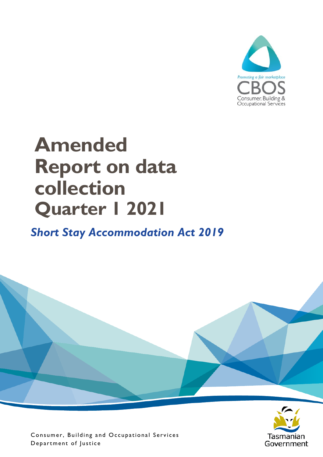

# **Amended Report on data collection Quarter 1 2021**

### *Short Stay Accommodation Act 2019*



Consumer, Building and Occupational Services Department of Justice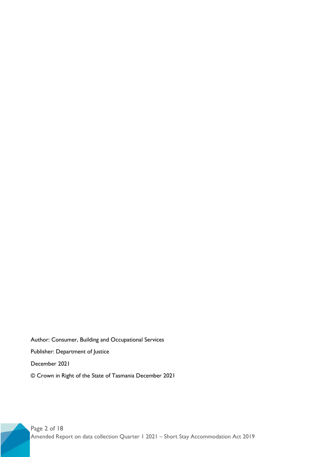Author: Consumer, Building and Occupational Services Publisher: Department of Justice December 2021 © Crown in Right of the State of Tasmania December 2021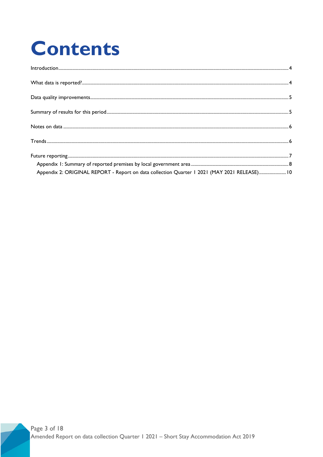# **Contents**

| Appendix 2: ORIGINAL REPORT - Report on data collection Quarter 1 2021 (MAY 2021 RELEASE)10 |  |
|---------------------------------------------------------------------------------------------|--|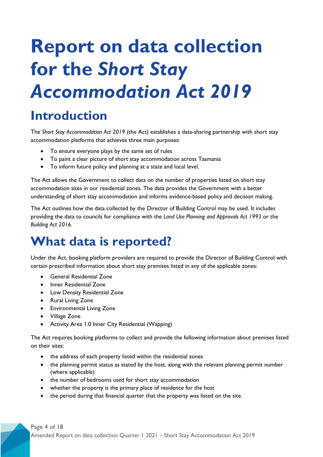# **Report on data collection for the** *Short Stay Accommodation Act 2019*

## <span id="page-3-0"></span>**Introduction**

The *Short Stay Accommodation Act 2019* (the Act) establishes a data-sharing partnership with short stay accommodation platforms that achieves three main purposes:

- To ensure everyone plays by the same set of rules
- To paint a clear picture of short stay accommodation across Tasmania
- To inform future policy and planning at a state and local level.

The Act allows the Government to collect data on the number of properties listed on short stay accommodation sites in our residential zones. The data provides the Government with a better understanding of short stay accommodation and informs evidence-based policy and decision making.

The Act outlines how the data collected by the Director of Building Control may be used. It includes providing the data to councils for compliance with the *Land Use Planning and Approvals Act 1993* or the *Building Act 2016.*

### <span id="page-3-1"></span>**What data is reported?**

Under the Act, booking platform providers are required to provide the Director of Building Control with certain prescribed information about short stay premises listed in any of the applicable zones:

- General Residential Zone
- Inner Residential Zone
- Low Density Residential Zone
- Rural Living Zone
- Environmental Living Zone
- Village Zone
- Activity Area 1.0 Inner City Residential (Wapping)

The Act requires booking platforms to collect and provide the following information about premises listed on their sites:

- the address of each property listed within the residential zones
- the planning permit status as stated by the host, along with the relevant planning permit number (where applicable)
- the number of bedrooms used for short stay accommodation
- whether the property is the primary place of residence for the host
- the period during that financial quarter that the property was listed on the site.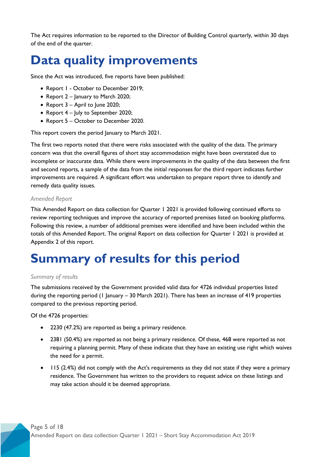The Act requires information to be reported to the Director of Building Control quarterly, within 30 days of the end of the quarter.

## <span id="page-4-0"></span>**Data quality improvements**

Since the Act was introduced, five reports have been published:

- Report 1 October to December 2019;
- Report 2 January to March 2020;
- Report 3 April to June 2020;
- Report 4 July to September 2020;
- Report 5 October to December 2020.

This report covers the period January to March 2021.

The first two reports noted that there were risks associated with the quality of the data. The primary concern was that the overall figures of short stay accommodation might have been overstated due to incomplete or inaccurate data. While there were improvements in the quality of the data between the first and second reports, a sample of the data from the initial responses for the third report indicates further improvements are required. A significant effort was undertaken to prepare report three to identify and remedy data quality issues.

#### *Amended Report*

This Amended Report on data collection for Quarter 1 2021 is provided following continued efforts to review reporting techniques and improve the accuracy of reported premises listed on booking platforms. Following this review, a number of additional premises were identified and have been included within the totals of this Amended Report. The original Report on data collection for Quarter 1 2021 is provided at Appendix 2 of this report.

## <span id="page-4-1"></span>**Summary of results for this period**

#### *Summary of results*

The submissions received by the Government provided valid data for 4726 individual properties listed during the reporting period (1 January – 30 March 2021). There has been an increase of 419 properties compared to the previous reporting period.

Of the 4726 properties:

- 2230 (47.2%) are reported as being a primary residence.
- 2381 (50.4%) are reported as not being a primary residence. Of these, 468 were reported as not requiring a planning permit. Many of these indicate that they have an existing use right which waives the need for a permit.
- 115 (2.4%) did not comply with the Act's requirements as they did not state if they were a primary residence. The Government has written to the providers to request advice on these listings and may take action should it be deemed appropriate.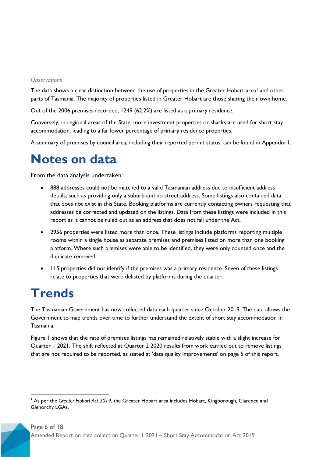#### *Observations*

The data shows a clear distinction between the use of properties in the Greater Hobart area<sup>[1](#page-5-2)</sup> and other parts of Tasmania. The majority of properties listed in Greater Hobart are those sharing their own home.

Out of the 2006 premises recorded, 1249 (62.2%) are listed as a primary residence.

Conversely, in regional areas of the State, more investment properties or shacks are used for short stay accommodation, leading to a far lower percentage of primary residence properties.

A summary of premises by council area, including their reported permit status, can be found in Appendix 1.

### <span id="page-5-0"></span>**Notes on data**

From the data analysis undertaken:

- 888 addresses could not be matched to a valid Tasmanian address due to insufficient address details, such as providing only a suburb and no street address. Some listings also contained data that does not exist in this State. Booking platforms are currently contacting owners requesting that addresses be corrected and updated on the listings. Data from these listings were included in this report as it cannot be ruled out as an address that does not fall under the Act.
- 2956 properties were listed more than once. These listings include platforms reporting multiple rooms within a single house as separate premises and premises listed on more than one booking platform. Where such premises were able to be identified, they were only counted once and the duplicate removed.
- 115 properties did not identify if the premises was a primary residence. Seven of these listings relate to properties that were delisted by platforms during the quarter.

## <span id="page-5-1"></span>**Trends**

The Tasmanian Government has now collected data each quarter since October 2019. The data allows the Government to map trends over time to further understand the extent of short stay accommodation in Tasmania.

Figure 1 shows that the rate of premises listings has remained relatively stable with a slight increase for Quarter 1 2021. The shift reflected at Quarter 2 2020 results from work carried out to remove listings that are not required to be reported, as stated at 'data quality improvements' on page 5 of this report.

<span id="page-5-2"></span> <sup>1</sup> As per the *Greater Hobart Act 2019*, the Greater Hobart area includes Hobart, Kingborough, Clarence and Glenorchy LGAs.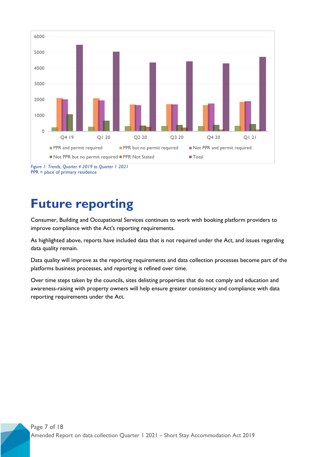

*Figure 1: Trends, Quarter 4 2019 to Quarter 1 2021* PPR = place of primary residence

### <span id="page-6-0"></span>**Future reporting**

Consumer, Building and Occupational Services continues to work with booking platform providers to improve compliance with the Act's reporting requirements.

As highlighted above, reports have included data that is not required under the Act, and issues regarding data quality remain.

Data quality will improve as the reporting requirements and data collection processes become part of the platforms business processes, and reporting is refined over time.

Over time steps taken by the councils, sites delisting properties that do not comply and education and awareness-raising with property owners will help ensure greater consistency and compliance with data reporting requirements under the Act.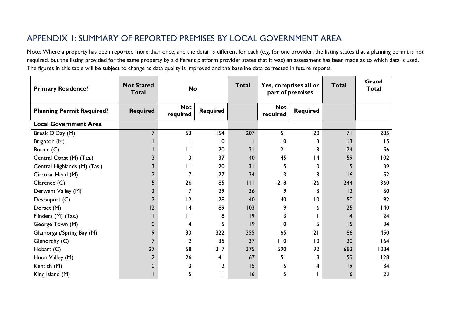#### APPENDIX 1: SUMMARY OF REPORTED PREMISES BY LOCAL GOVERNMENT AREA

Note: Where a property has been reported more than once, and the detail is different for each (e.g. for one provider, the listing states that a planning permit is not required, but the listing provided for the same property by a different platform provider states that it was) an assessment has been made as to which data is used. The figures in this table will be subject to change as data quality is improved and the baseline data corrected in future reports.

<span id="page-7-0"></span>

| <b>Primary Residence?</b>        | <b>Not Stated</b><br><b>Total</b> | <b>No</b>              |                 | <b>Total</b> | Yes, comprises all or<br>part of premises |                 | <b>Total</b> | Grand<br><b>Total</b> |
|----------------------------------|-----------------------------------|------------------------|-----------------|--------------|-------------------------------------------|-----------------|--------------|-----------------------|
| <b>Planning Permit Required?</b> | <b>Required</b>                   | <b>Not</b><br>required | <b>Required</b> |              | <b>Not</b><br>required                    | <b>Required</b> |              |                       |
| <b>Local Government Area</b>     |                                   |                        |                 |              |                                           |                 |              |                       |
| Break O'Day (M)                  |                                   | 53                     | 154             | 207          | 51                                        | 20              | 71           | 285                   |
| Brighton (M)                     |                                   |                        | 0               |              | 10                                        | 3               | 13           | 15                    |
| Burnie (C)                       |                                   | $\mathbf{H}$           | 20              | 31           | 21                                        | 3               | 24           | 56                    |
| Central Coast (M) (Tas.)         |                                   | 3                      | 37              | 40           | 45                                        | 4               | 59           | 102                   |
| Central Highlands (M) (Tas.)     |                                   | $\mathbf{H}$           | 20              | 31           | 5                                         | 0               | 5            | 39                    |
| Circular Head (M)                |                                   |                        | 27              | 34           | 13                                        | 3               | 16           | 52                    |
| Clarence (C)                     |                                   | 26                     | 85              | 111          | 218                                       | 26              | 244          | 360                   |
| Derwent Valley (M)               |                                   | 7                      | 29              | 36           | 9                                         | 3               | 2            | 50                    |
| Devonport (C)                    | $\overline{2}$                    | 12                     | 28              | 40           | 40                                        | $\overline{10}$ | 50           | 92                    |
| Dorset (M)                       | 12                                | 4                      | 89              | 103          | 9                                         | 6               | 25           | 140                   |
| Flinders (M) (Tas.)              |                                   | $\mathbf{H}$           | 8               | 9            | 3                                         |                 | 4            | 24                    |
| George Town (M)                  |                                   | 4                      | 15              | 9            | 10                                        | 5               | 15           | 34                    |
| Glamorgan/Spring Bay (M)         | 9                                 | 33                     | 322             | 355          | 65                                        | 21              | 86           | 450                   |
| Glenorchy (C)                    |                                   | $\overline{2}$         | 35              | 37           | 110                                       | $\overline{10}$ | 120          | 164                   |
| Hobart (C)                       | 27                                | 58                     | 317             | 375          | 590                                       | 92              | 682          | 1084                  |
| Huon Valley (M)                  | $\overline{2}$                    | 26                     | 41              | 67           | 51                                        | 8               | 59           | 128                   |
| Kentish (M)                      | 0                                 | 3                      | 12              | 15           | 15                                        | 4               | 9            | 34                    |
| King Island (M)                  |                                   | 5                      | П               | 16           | 5                                         |                 | 6            | 23                    |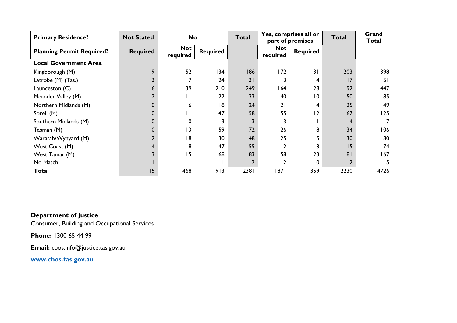| <b>Primary Residence?</b>        | <b>Not Stated</b> | <b>No</b>              |                 | <b>Total</b> | Yes, comprises all or<br>part of premises |                 | Total          | Grand<br><b>Total</b> |
|----------------------------------|-------------------|------------------------|-----------------|--------------|-------------------------------------------|-----------------|----------------|-----------------------|
| <b>Planning Permit Required?</b> | <b>Required</b>   | <b>Not</b><br>required | <b>Required</b> |              | <b>Not</b><br>required                    | <b>Required</b> |                |                       |
| <b>Local Government Area</b>     |                   |                        |                 |              |                                           |                 |                |                       |
| Kingborough (M)                  | 9                 | 52                     | 134             | 186          | 172                                       | 31              | 203            | 398                   |
| Latrobe (M) (Tas.)               |                   |                        | 24              | 31           | 13                                        | 4               | 17             | 51                    |
| Launceston (C)                   | n                 | 39                     | 210             | 249          | 164                                       | 28              | 192            | 447                   |
| Meander Valley (M)               |                   | П                      | 22              | 33           | 40                                        | $\overline{0}$  | 50             | 85                    |
| Northern Midlands (M)            |                   | 6                      | 18              | 24           | 21                                        | 4               | 25             | 49                    |
| Sorell (M)                       |                   | Ħ                      | 47              | 58           | 55                                        | 12              | 67             | 125                   |
| Southern Midlands (M)            |                   | $\Omega$               |                 |              |                                           |                 | 4              |                       |
| Tasman (M)                       |                   | $\overline{3}$         | 59              | 72           | 26                                        | 8               | 34             | 106                   |
| Waratah/Wynyard (M)              |                   | 18                     | 30              | 48           | 25                                        |                 | 30             | 80                    |
| West Coast (M)                   |                   | 8                      | 47              | 55           | 12                                        |                 | 15             | 74                    |
| West Tamar (M)                   |                   | 15                     | 68              | 83           | 58                                        | 23              | 81             | 167                   |
| No Match                         |                   |                        |                 |              | 2                                         | 0               | $\overline{2}$ | 5                     |
| Total                            | 115               | 468                    | 1913            | 2381         | 1871                                      | 359             | 2230           | 4726                  |

**Department of Justice**

Consumer, Building and Occupational Services

**Phone:** 1300 65 44 99

**Email:** cbos.info@justice.tas.gov.au

**[www.cbos.tas.gov.au](http://www.cbos.tas.gov.au/)**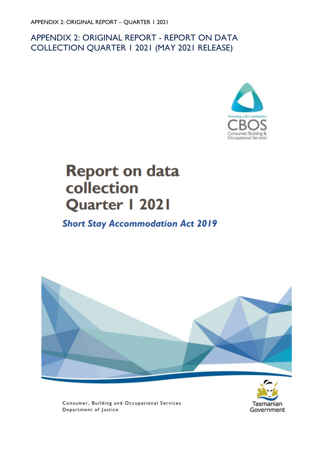#### <span id="page-9-0"></span>APPENDIX 2: ORIGINAL REPORT - REPORT ON DATA COLLECTION QUARTER 1 2021 (MAY 2021 RELEASE)



# **Report on data** collection Quarter | 2021

### **Short Stay Accommodation Act 2019**





Consumer, Building and Occupational Services Department of Justice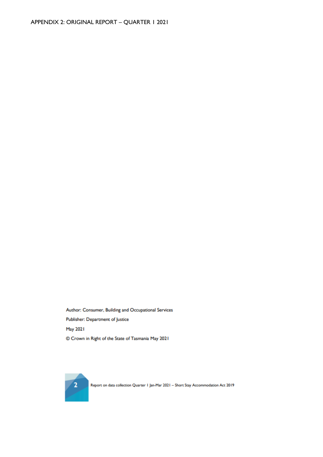Author: Consumer, Building and Occupational Services Publisher: Department of Justice May 2021 C Crown in Right of the State of Tasmania May 2021

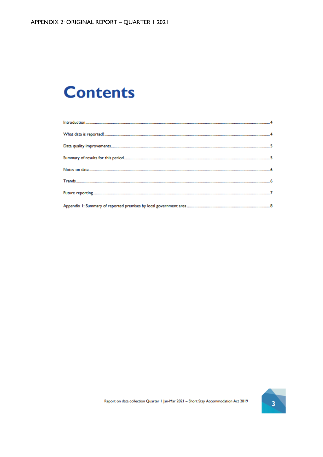# **Contents**

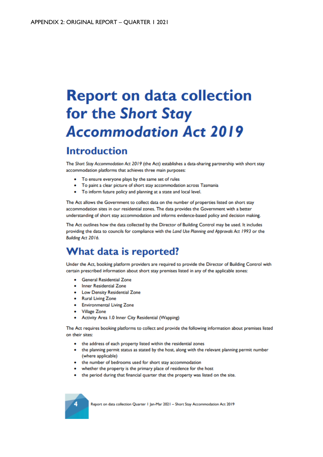# **Report on data collection** for the Short Stay **Accommodation Act 2019**

### **Introduction**

The Short Stay Accommodation Act 2019 (the Act) establishes a data-sharing partnership with short stay accommodation platforms that achieves three main purposes:

- To ensure everyone plays by the same set of rules
- To paint a clear picture of short stay accommodation across Tasmania
- To inform future policy and planning at a state and local level.

The Act allows the Government to collect data on the number of properties listed on short stay accommodation sites in our residential zones. The data provides the Government with a better understanding of short stay accommodation and informs evidence-based policy and decision making.

The Act outlines how the data collected by the Director of Building Control may be used. It includes providing the data to councils for compliance with the Land Use Planning and Approvals Act 1993 or the Building Act 2016.

### What data is reported?

Under the Act, booking platform providers are required to provide the Director of Building Control with certain prescribed information about short stay premises listed in any of the applicable zones:

- General Residential Zone
- Inner Residential Zone
- Low Density Residential Zone
- Rural Living Zone
- Environmental Living Zone
- Village Zone
- Activity Area 1.0 Inner City Residential (Wapping)

The Act requires booking platforms to collect and provide the following information about premises listed on their sites:

- the address of each property listed within the residential zones
- the planning permit status as stated by the host, along with the relevant planning permit number (where applicable)
- the number of bedrooms used for short stay accommodation
- whether the property is the primary place of residence for the host
- the period during that financial quarter that the property was listed on the site.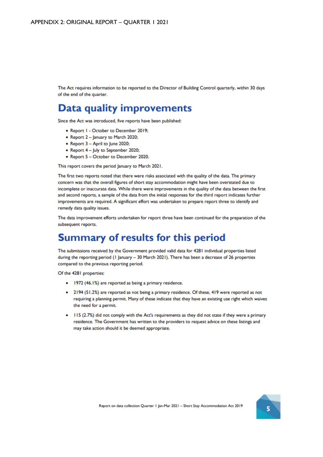The Act requires information to be reported to the Director of Building Control quarterly, within 30 days of the end of the quarter.

### Data quality improvements

Since the Act was introduced, five reports have been published:

- Report I October to December 2019;
- Report 2 January to March 2020;
- Report 3 April to June 2020;
- Report 4 July to September 2020;
- Report 5 October to December 2020.

This report covers the period January to March 2021.

The first two reports noted that there were risks associated with the quality of the data. The primary concern was that the overall figures of short stay accommodation might have been overstated due to incomplete or inaccurate data. While there were improvements in the quality of the data between the first and second reports, a sample of the data from the initial responses for the third report indicates further improvements are required. A significant effort was undertaken to prepare report three to identify and remedy data quality issues.

The data improvement efforts undertaken for report three have been continued for the preparation of the subsequent reports.

### **Summary of results for this period**

The submissions received by the Government provided valid data for 4281 individual properties listed during the reporting period (1 January - 30 March 2021). There has been a decrease of 26 properties compared to the previous reporting period.

Of the 4281 properties:

- 1972 (46.1%) are reported as being a primary residence.
- 2194 (51.2%) are reported as not being a primary residence. Of these, 419 were reported as not requiring a planning permit. Many of these indicate that they have an existing use right which waives the need for a permit.
- 115 (2.7%) did not comply with the Act's requirements as they did not state if they were a primary residence. The Government has written to the providers to request advice on these listings and may take action should it be deemed appropriate.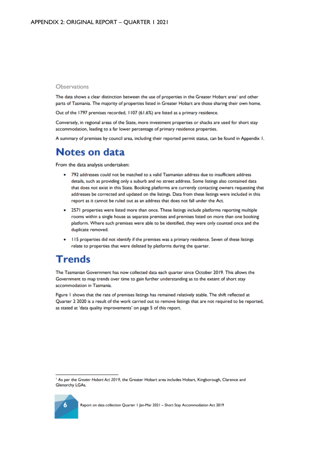#### Observations

The data shows a clear distinction between the use of properties in the Greater Hobart area<sup>1</sup> and other parts of Tasmania. The majority of properties listed in Greater Hobart are those sharing their own home.

Out of the 1797 premises recorded, 1107 (61.6%) are listed as a primary residence.

Conversely, in regional areas of the State, more investment properties or shacks are used for short stay accommodation, leading to a far lower percentage of primary residence properties.

A summary of premises by council area, including their reported permit status, can be found in Appendix 1.

#### **Notes on data**

From the data analysis undertaken:

- 792 addresses could not be matched to a valid Tasmanian address due to insufficient address details, such as providing only a suburb and no street address. Some listings also contained data that does not exist in this State. Booking platforms are currently contacting owners requesting that addresses be corrected and updated on the listings. Data from these listings were included in this report as it cannot be ruled out as an address that does not fall under the Act.
- 2571 properties were listed more than once. These listings include platforms reporting multiple rooms within a single house as separate premises and premises listed on more than one booking platform. Where such premises were able to be identified, they were only counted once and the duplicate removed.
- II5 properties did not identify if the premises was a primary residence. Seven of these listings relate to properties that were delisted by platforms during the quarter.

#### **Trends**

6

The Tasmanian Government has now collected data each quarter since October 2019. This allows the Government to map trends over time to gain further understanding as to the extent of short stay accommodation in Tasmania.

Figure 1 shows that the rate of premises listings has remained relatively stable. The shift reflected at Quarter 2 2020 is a result of the work carried out to remove listings that are not required to be reported, as stated at 'data quality improvements' on page 5 of this report.

<sup>&</sup>lt;sup>1</sup> As per the Greater Hobart Act 2019, the Greater Hobart area includes Hobart, Kingborough, Clarence and **Glenorchy LGAs.**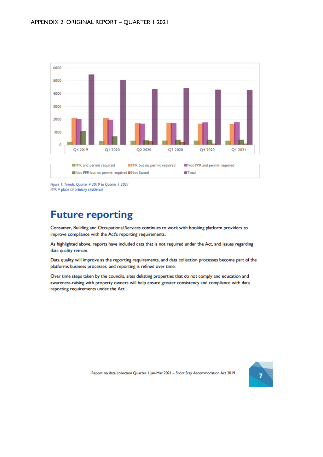

Figure 1: Trends, Quarter 4 2019 to Quarter 1 2021  $PPR = place of primary residence$ 

### **Future reporting**

Consumer, Building and Occupational Services continues to work with booking platform providers to improve compliance with the Act's reporting requirements.

As highlighted above, reports have included data that is not required under the Act, and issues regarding data quality remain.

Data quality will improve as the reporting requirements, and data collection processes become part of the platforms business processes, and reporting is refined over time.

Over time steps taken by the councils, sites delisting properties that do not comply and education and awareness-raising with property owners will help ensure greater consistency and compliance with data reporting requirements under the Act.

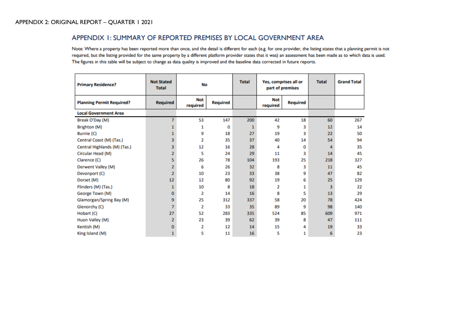#### APPENDIX 1: SUMMARY OF REPORTED PREMISES BY LOCAL GOVERNMENT AREA

Note: Where a property has been reported more than once, and the detail is different for each (e.g. for one provider, the listing states that a planning permit is not required, but the listing provided for the same property by a different platform provider states that it was) an assessment has been made as to which data is used. The figures in this table will be subject to change as data quality is improved and the baseline data corrected in future reports.

| <b>Primary Residence?</b>        | <b>Not Stated</b><br><b>Total</b> | No                     |                 | <b>Total</b> | Yes, comprises all or<br>part of premises |                 | <b>Total</b>   | <b>Grand Total</b> |
|----------------------------------|-----------------------------------|------------------------|-----------------|--------------|-------------------------------------------|-----------------|----------------|--------------------|
| <b>Planning Permit Required?</b> | Required                          | <b>Not</b><br>required | <b>Required</b> |              | <b>Not</b><br>required                    | <b>Required</b> |                |                    |
| <b>Local Government Area</b>     |                                   |                        |                 |              |                                           |                 |                |                    |
| Break O'Day (M)                  |                                   | 53                     | 147             | 200          | 42                                        | 18              | 60             | 267                |
| Brighton (M)                     |                                   | 1                      | 0               | 1            | 9                                         | 3               | 12             | 14                 |
| Burnie (C)                       | 1                                 | 9                      | 18              | 27           | 19                                        | 3               | 22             | 50                 |
| Central Coast (M) (Tas.)         | 3                                 | 2                      | 35              | 37           | 40                                        | 14              | 54             | 94                 |
| Central Highlands (M) (Tas.)     | 3                                 | 12                     | 16              | 28           | 4                                         | 0               | 4              | 35                 |
| Circular Head (M)                | $\overline{2}$                    | 5                      | 24              | 29           | 11                                        | 3               | 14             | 45                 |
| Clarence (C)                     | 5                                 | 26                     | 78              | 104          | 193                                       | 25              | 218            | 327                |
| Derwent Valley (M)               | $\overline{2}$                    | 6                      | 26              | 32           | 8                                         | 3               | 11             | 45                 |
| Devonport (C)                    | $\overline{2}$                    | 10                     | 23              | 33           | 38                                        | 9               | 47             | 82                 |
| Dorset (M)                       | 12 <sup>2</sup>                   | 12                     | 80              | 92           | 19                                        | 6               | 25             | 129                |
| Flinders (M) (Tas.)              | 1                                 | 10                     | 8               | 18           | 2                                         | 1               | $\overline{3}$ | 22                 |
| George Town (M)                  | o                                 | $\overline{2}$         | 14              | 16           | 8                                         | 5               | 13             | 29                 |
| Glamorgan/Spring Bay (M)         | 9                                 | 25                     | 312             | 337          | 58                                        | 20              | 78             | 424                |
| Glenorchy (C)                    | 7                                 | $\overline{2}$         | 33              | 35           | 89                                        | 9               | 98             | 140                |
| Hobart (C)                       | 27                                | 52                     | 283             | 335          | 524                                       | 85              | 609            | 971                |
| Huon Valley (M)                  | $\overline{2}$                    | 23                     | 39              | 62           | 39                                        | 8               | 47             | 111                |
| Kentish (M)                      | 0                                 | 2                      | 12              | 14           | 15                                        | 4               | 19             | 33                 |
| King Island (M)                  | 1                                 | 5                      | 11              | 16           | 5                                         | 1               | 6              | 23                 |